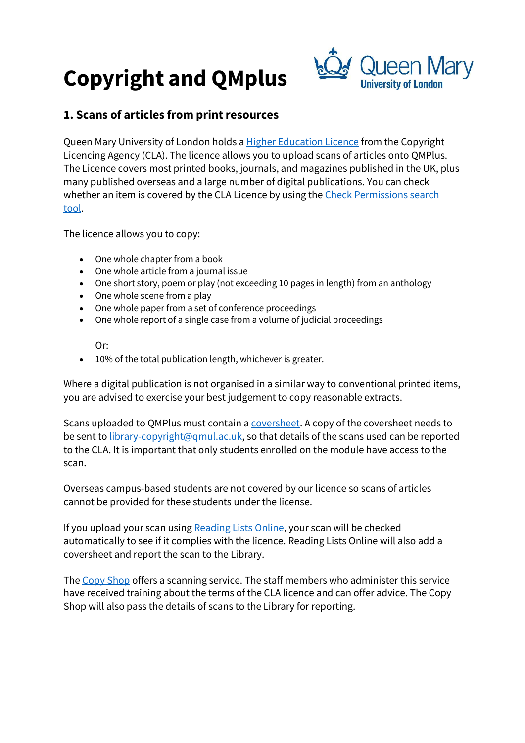# Copyright and QMplus



## 1. Scans of articles from print resources

Queen Mary University of London holds a Higher Education Licence from the Copyright Licencing Agency (CLA). The licence allows you to upload scans of articles onto QMPlus. The Licence covers most printed books, journals, and magazines published in the UK, plus many published overseas and a large number of digital publications. You can check whether an item is covered by the CLA Licence by using the Check Permissions search tool.

The licence allows you to copy:

- One whole chapter from a book
- One whole article from a journal issue
- One short story, poem or play (not exceeding 10 pages in length) from an anthology
- One whole scene from a play
- One whole paper from a set of conference proceedings
- One whole report of a single case from a volume of judicial proceedings

Or:

10% of the total publication length, whichever is greater.

Where a digital publication is not organised in a similar way to conventional printed items, you are advised to exercise your best judgement to copy reasonable extracts.

Scans uploaded to QMPlus must contain a coversheet. A copy of the coversheet needs to be sent to library-copyright@qmul.ac.uk, so that details of the scans used can be reported to the CLA. It is important that only students enrolled on the module have access to the scan.

Overseas campus-based students are not covered by our licence so scans of articles cannot be provided for these students under the license.

If you upload your scan using Reading Lists Online, your scan will be checked automatically to see if it complies with the licence. Reading Lists Online will also add a coversheet and report the scan to the Library.

The Copy Shop offers a scanning service. The staff members who administer this service have received training about the terms of the CLA licence and can offer advice. The Copy Shop will also pass the details of scans to the Library for reporting.